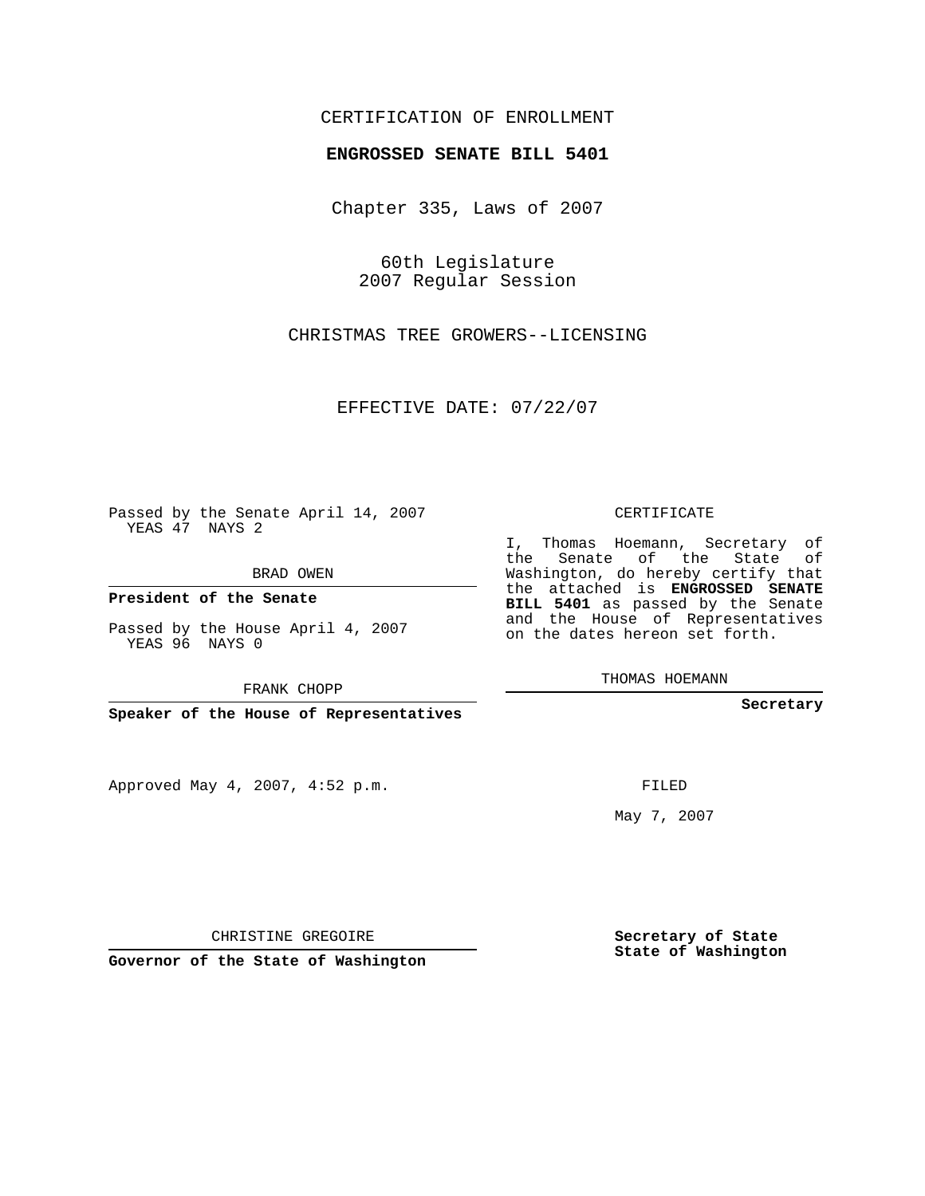## CERTIFICATION OF ENROLLMENT

## **ENGROSSED SENATE BILL 5401**

Chapter 335, Laws of 2007

60th Legislature 2007 Regular Session

CHRISTMAS TREE GROWERS--LICENSING

EFFECTIVE DATE: 07/22/07

Passed by the Senate April 14, 2007 YEAS 47 NAYS 2

BRAD OWEN

**President of the Senate**

Passed by the House April 4, 2007 YEAS 96 NAYS 0

FRANK CHOPP

**Speaker of the House of Representatives**

Approved May 4, 2007, 4:52 p.m.

CERTIFICATE

I, Thomas Hoemann, Secretary of the Senate of the State of Washington, do hereby certify that the attached is **ENGROSSED SENATE BILL 5401** as passed by the Senate and the House of Representatives on the dates hereon set forth.

THOMAS HOEMANN

**Secretary**

FILED

May 7, 2007

**Secretary of State State of Washington**

CHRISTINE GREGOIRE

**Governor of the State of Washington**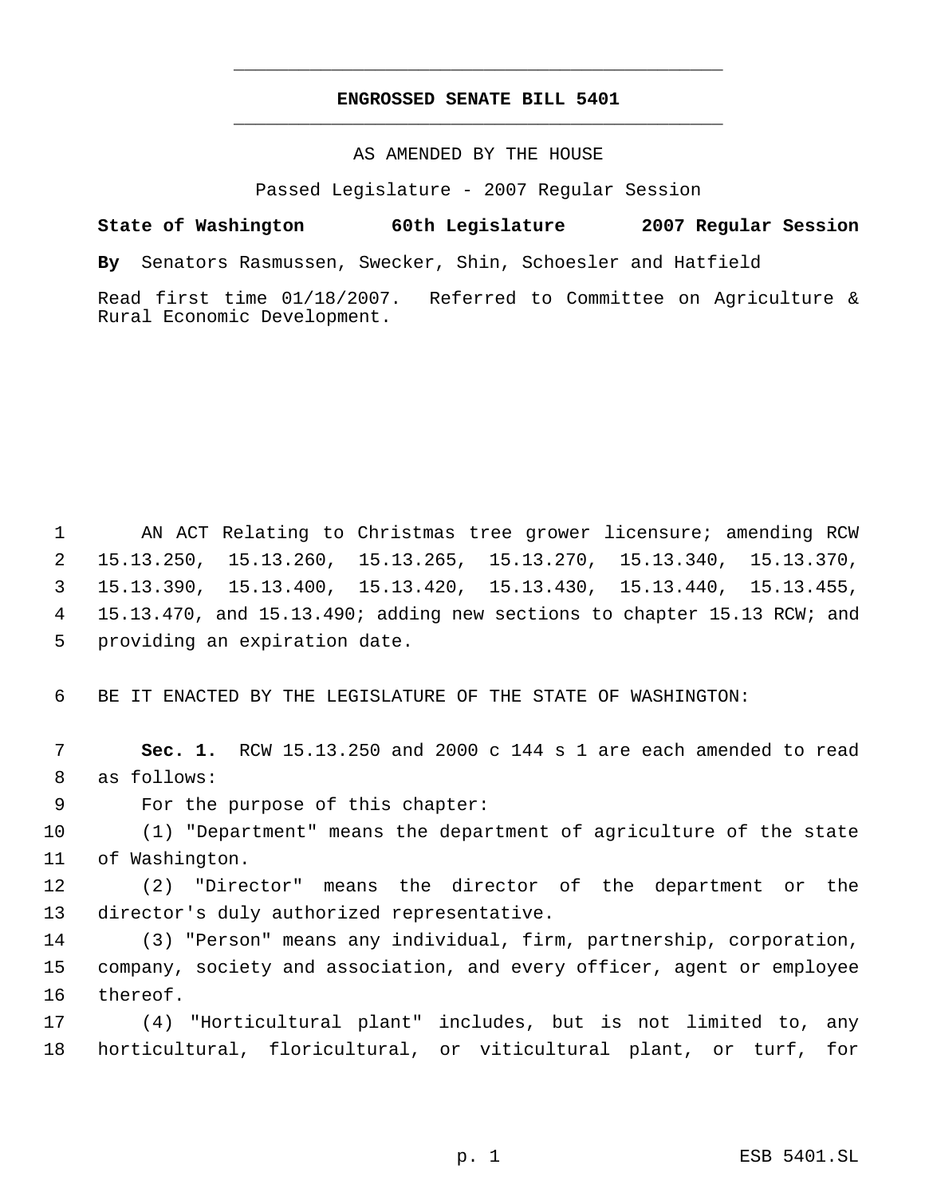## **ENGROSSED SENATE BILL 5401** \_\_\_\_\_\_\_\_\_\_\_\_\_\_\_\_\_\_\_\_\_\_\_\_\_\_\_\_\_\_\_\_\_\_\_\_\_\_\_\_\_\_\_\_\_

\_\_\_\_\_\_\_\_\_\_\_\_\_\_\_\_\_\_\_\_\_\_\_\_\_\_\_\_\_\_\_\_\_\_\_\_\_\_\_\_\_\_\_\_\_

## AS AMENDED BY THE HOUSE

Passed Legislature - 2007 Regular Session

**State of Washington 60th Legislature 2007 Regular Session**

**By** Senators Rasmussen, Swecker, Shin, Schoesler and Hatfield

Read first time 01/18/2007. Referred to Committee on Agriculture & Rural Economic Development.

 AN ACT Relating to Christmas tree grower licensure; amending RCW 15.13.250, 15.13.260, 15.13.265, 15.13.270, 15.13.340, 15.13.370, 15.13.390, 15.13.400, 15.13.420, 15.13.430, 15.13.440, 15.13.455, 15.13.470, and 15.13.490; adding new sections to chapter 15.13 RCW; and providing an expiration date.

BE IT ENACTED BY THE LEGISLATURE OF THE STATE OF WASHINGTON:

 **Sec. 1.** RCW 15.13.250 and 2000 c 144 s 1 are each amended to read as follows:

For the purpose of this chapter:

 (1) "Department" means the department of agriculture of the state of Washington.

 (2) "Director" means the director of the department or the director's duly authorized representative.

 (3) "Person" means any individual, firm, partnership, corporation, company, society and association, and every officer, agent or employee thereof.

 (4) "Horticultural plant" includes, but is not limited to, any horticultural, floricultural, or viticultural plant, or turf, for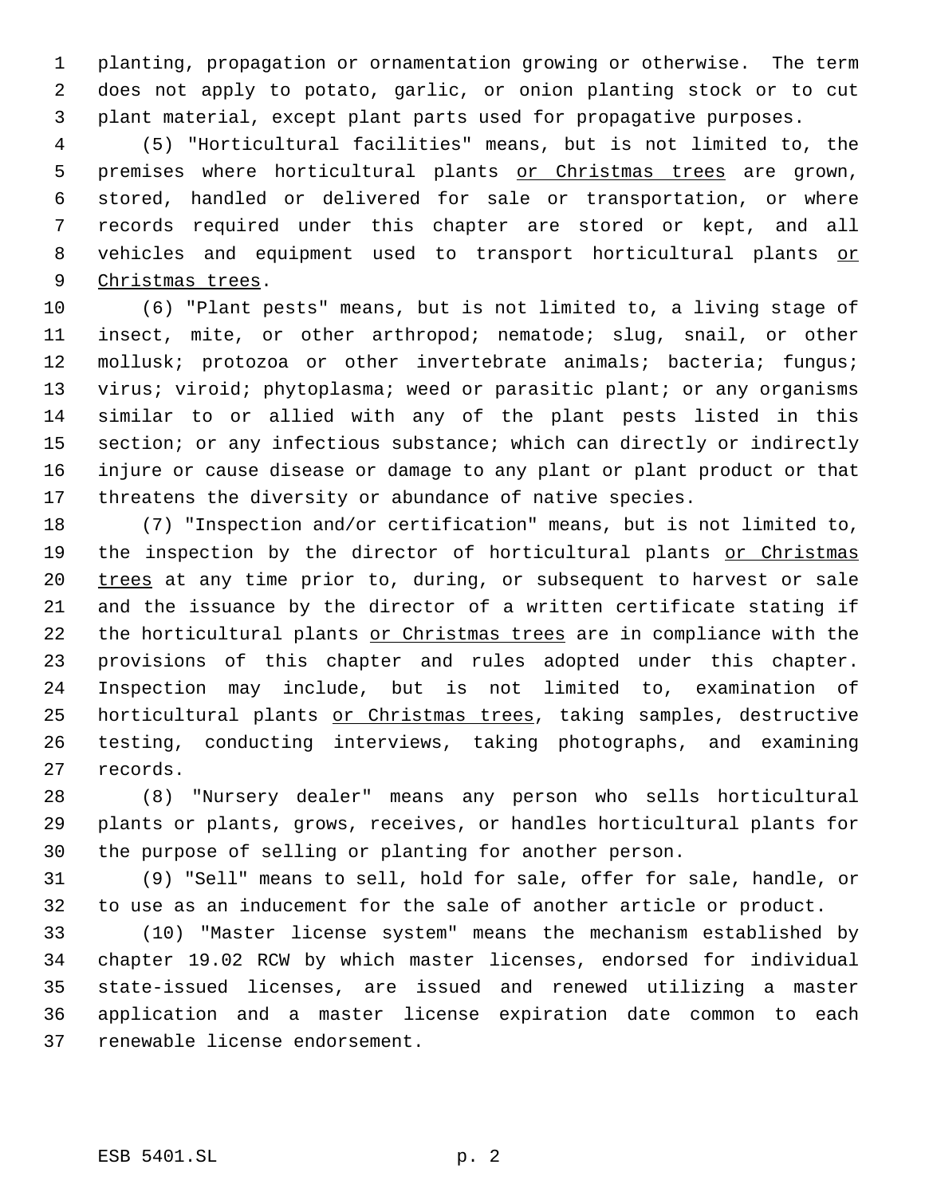planting, propagation or ornamentation growing or otherwise. The term does not apply to potato, garlic, or onion planting stock or to cut plant material, except plant parts used for propagative purposes.

 (5) "Horticultural facilities" means, but is not limited to, the 5 premises where horticultural plants or Christmas trees are grown, stored, handled or delivered for sale or transportation, or where records required under this chapter are stored or kept, and all 8 vehicles and equipment used to transport horticultural plants or 9 Christmas trees.

 (6) "Plant pests" means, but is not limited to, a living stage of insect, mite, or other arthropod; nematode; slug, snail, or other 12 mollusk; protozoa or other invertebrate animals; bacteria; fungus; 13 virus; viroid; phytoplasma; weed or parasitic plant; or any organisms similar to or allied with any of the plant pests listed in this 15 section; or any infectious substance; which can directly or indirectly injure or cause disease or damage to any plant or plant product or that threatens the diversity or abundance of native species.

 (7) "Inspection and/or certification" means, but is not limited to, 19 the inspection by the director of horticultural plants or Christmas 20 trees at any time prior to, during, or subsequent to harvest or sale and the issuance by the director of a written certificate stating if 22 the horticultural plants or Christmas trees are in compliance with the provisions of this chapter and rules adopted under this chapter. Inspection may include, but is not limited to, examination of 25 horticultural plants or Christmas trees, taking samples, destructive testing, conducting interviews, taking photographs, and examining records.

 (8) "Nursery dealer" means any person who sells horticultural plants or plants, grows, receives, or handles horticultural plants for the purpose of selling or planting for another person.

 (9) "Sell" means to sell, hold for sale, offer for sale, handle, or to use as an inducement for the sale of another article or product.

 (10) "Master license system" means the mechanism established by chapter 19.02 RCW by which master licenses, endorsed for individual state-issued licenses, are issued and renewed utilizing a master application and a master license expiration date common to each renewable license endorsement.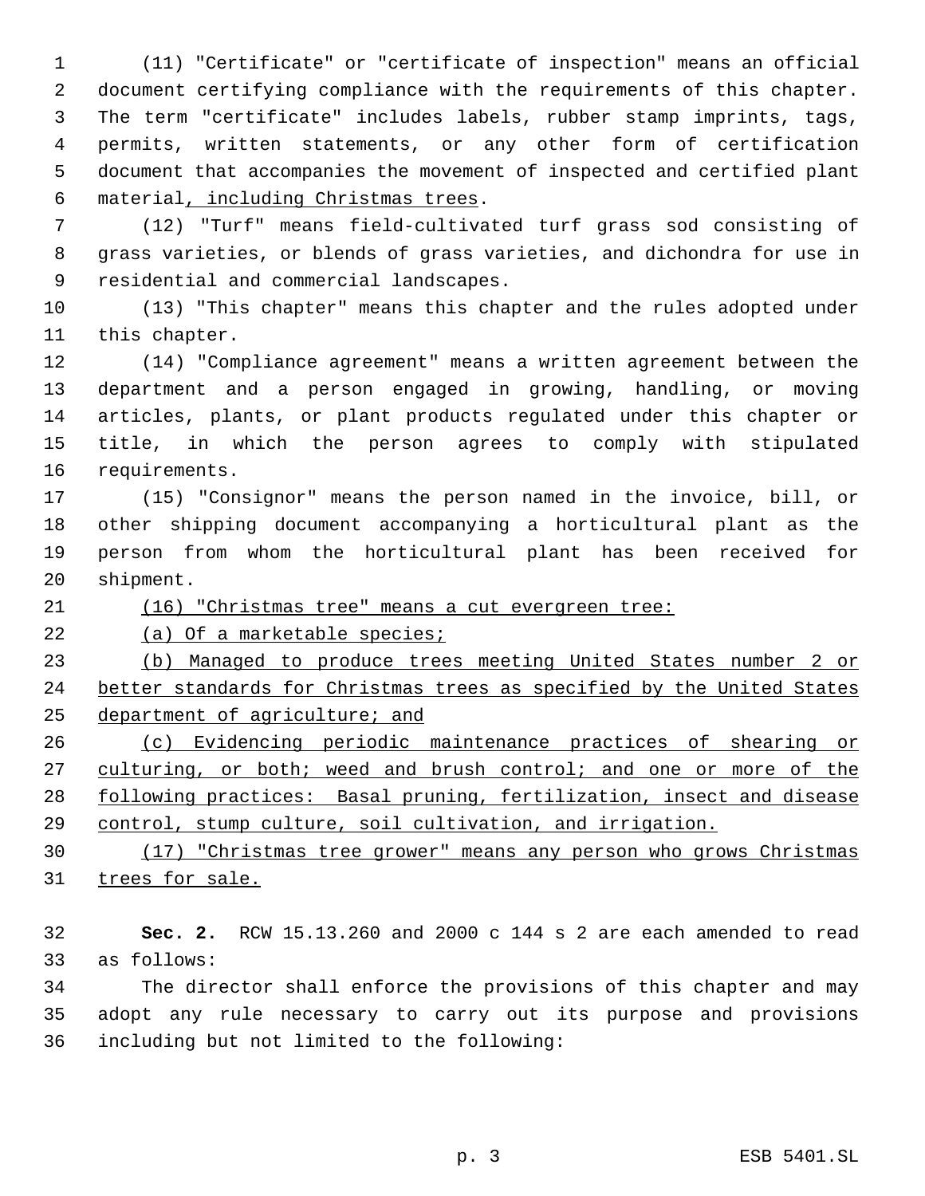(11) "Certificate" or "certificate of inspection" means an official document certifying compliance with the requirements of this chapter. The term "certificate" includes labels, rubber stamp imprints, tags, permits, written statements, or any other form of certification document that accompanies the movement of inspected and certified plant material, including Christmas trees.

 (12) "Turf" means field-cultivated turf grass sod consisting of grass varieties, or blends of grass varieties, and dichondra for use in residential and commercial landscapes.

 (13) "This chapter" means this chapter and the rules adopted under this chapter.

 (14) "Compliance agreement" means a written agreement between the department and a person engaged in growing, handling, or moving articles, plants, or plant products regulated under this chapter or title, in which the person agrees to comply with stipulated requirements.

 (15) "Consignor" means the person named in the invoice, bill, or other shipping document accompanying a horticultural plant as the person from whom the horticultural plant has been received for shipment.

(16) "Christmas tree" means a cut evergreen tree:

22 (a) Of a marketable species;

 (b) Managed to produce trees meeting United States number 2 or 24 better standards for Christmas trees as specified by the United States department of agriculture; and

 (c) Evidencing periodic maintenance practices of shearing or 27 culturing, or both; weed and brush control; and one or more of the following practices: Basal pruning, fertilization, insect and disease control, stump culture, soil cultivation, and irrigation.

 (17) "Christmas tree grower" means any person who grows Christmas 31 trees for sale.

 **Sec. 2.** RCW 15.13.260 and 2000 c 144 s 2 are each amended to read as follows:

 The director shall enforce the provisions of this chapter and may adopt any rule necessary to carry out its purpose and provisions including but not limited to the following: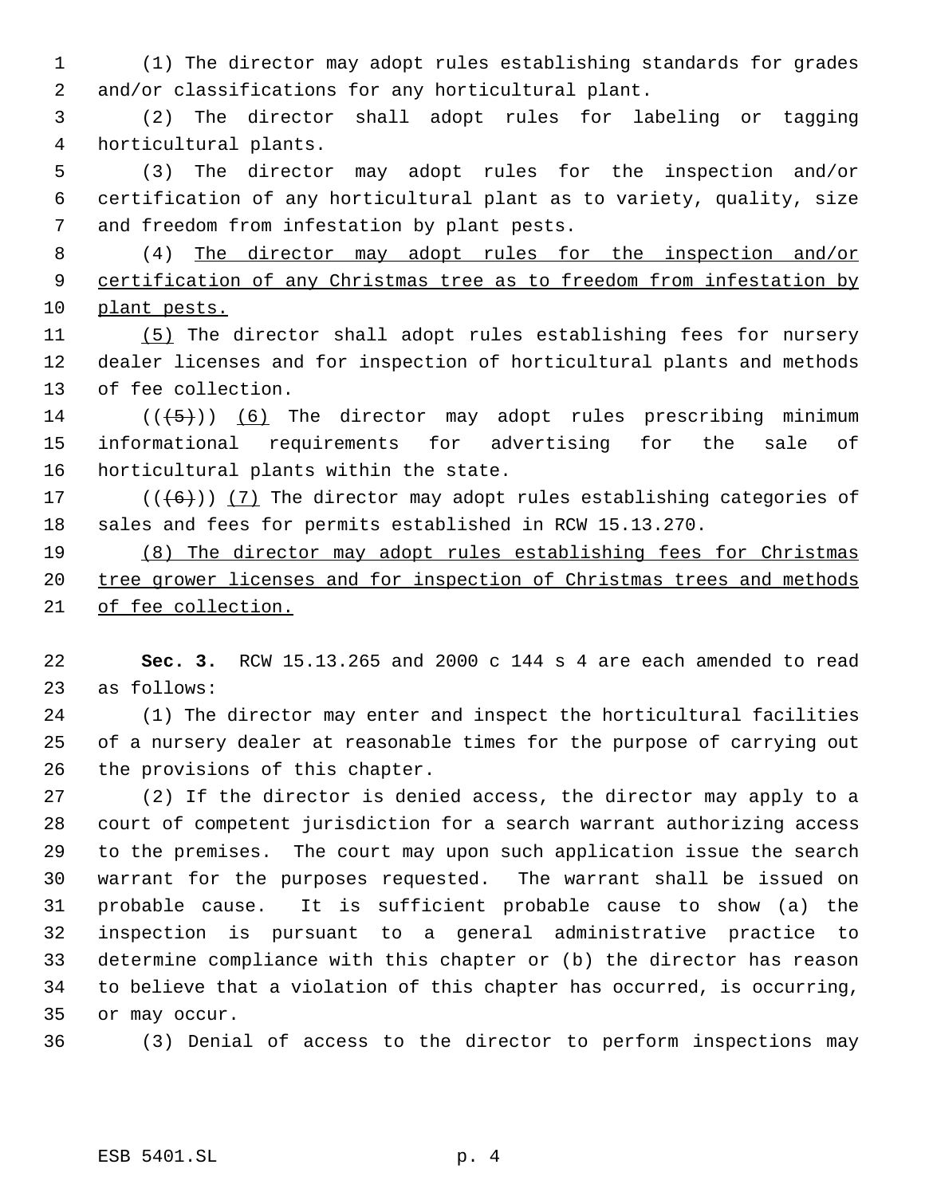- (1) The director may adopt rules establishing standards for grades and/or classifications for any horticultural plant.
- (2) The director shall adopt rules for labeling or tagging horticultural plants.
- (3) The director may adopt rules for the inspection and/or certification of any horticultural plant as to variety, quality, size and freedom from infestation by plant pests.
- (4) The director may adopt rules for the inspection and/or 9 certification of any Christmas tree as to freedom from infestation by plant pests.
- (5) The director shall adopt rules establishing fees for nursery dealer licenses and for inspection of horticultural plants and methods of fee collection.
- 14  $((\langle 5 \rangle) )$  (6) The director may adopt rules prescribing minimum informational requirements for advertising for the sale of horticultural plants within the state.
- 17  $((+6))$   $(7)$  The director may adopt rules establishing categories of sales and fees for permits established in RCW 15.13.270.
- (8) The director may adopt rules establishing fees for Christmas 20 tree grower licenses and for inspection of Christmas trees and methods of fee collection.
- **Sec. 3.** RCW 15.13.265 and 2000 c 144 s 4 are each amended to read as follows:
- (1) The director may enter and inspect the horticultural facilities of a nursery dealer at reasonable times for the purpose of carrying out the provisions of this chapter.
- (2) If the director is denied access, the director may apply to a court of competent jurisdiction for a search warrant authorizing access to the premises. The court may upon such application issue the search warrant for the purposes requested. The warrant shall be issued on probable cause. It is sufficient probable cause to show (a) the inspection is pursuant to a general administrative practice to determine compliance with this chapter or (b) the director has reason to believe that a violation of this chapter has occurred, is occurring, or may occur.
- (3) Denial of access to the director to perform inspections may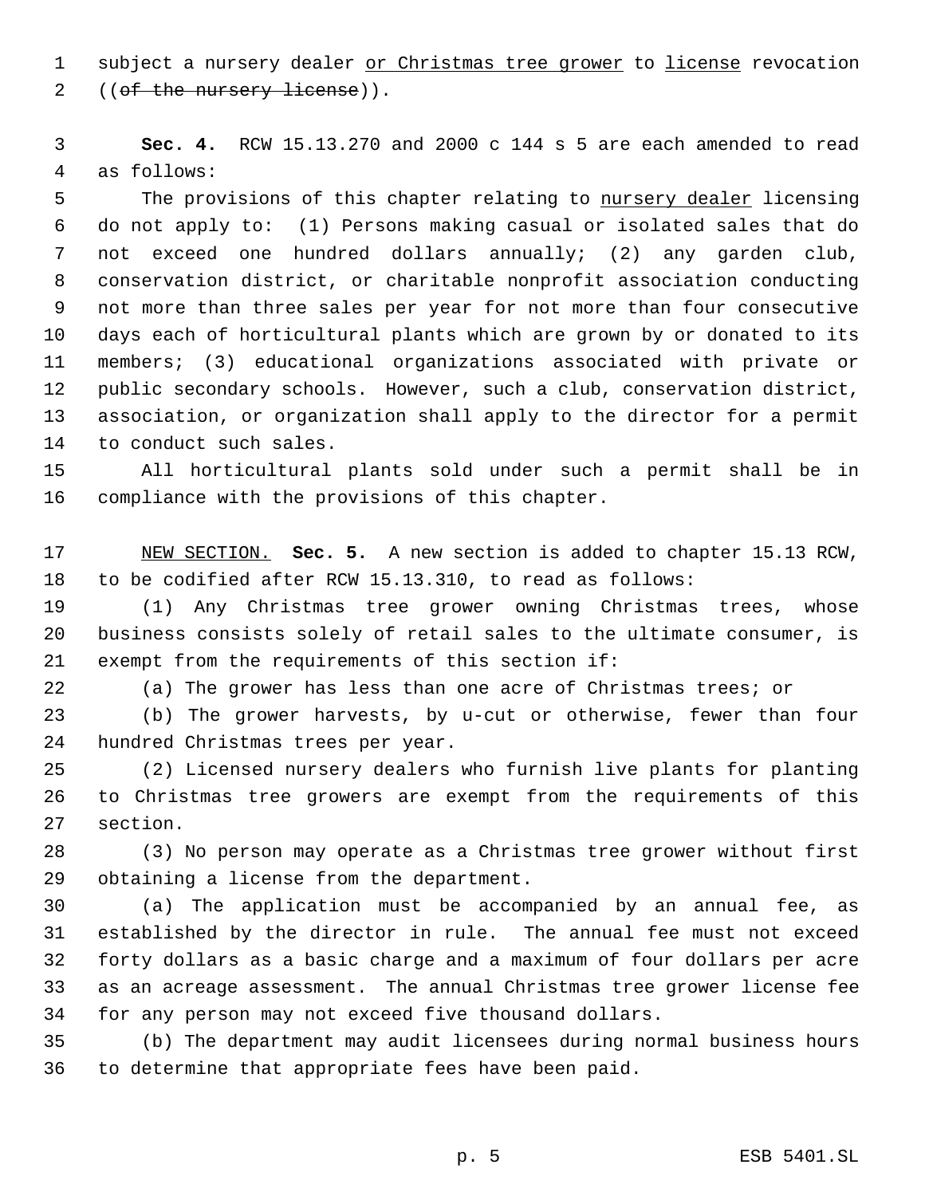1 subject a nursery dealer or Christmas tree grower to license revocation 2 ((of the nursery license)).

 **Sec. 4.** RCW 15.13.270 and 2000 c 144 s 5 are each amended to read as follows:

5 The provisions of this chapter relating to nursery dealer licensing do not apply to: (1) Persons making casual or isolated sales that do not exceed one hundred dollars annually; (2) any garden club, conservation district, or charitable nonprofit association conducting not more than three sales per year for not more than four consecutive days each of horticultural plants which are grown by or donated to its members; (3) educational organizations associated with private or public secondary schools. However, such a club, conservation district, association, or organization shall apply to the director for a permit to conduct such sales.

 All horticultural plants sold under such a permit shall be in compliance with the provisions of this chapter.

 NEW SECTION. **Sec. 5.** A new section is added to chapter 15.13 RCW, to be codified after RCW 15.13.310, to read as follows:

 (1) Any Christmas tree grower owning Christmas trees, whose business consists solely of retail sales to the ultimate consumer, is exempt from the requirements of this section if:

(a) The grower has less than one acre of Christmas trees; or

 (b) The grower harvests, by u-cut or otherwise, fewer than four hundred Christmas trees per year.

 (2) Licensed nursery dealers who furnish live plants for planting to Christmas tree growers are exempt from the requirements of this section.

 (3) No person may operate as a Christmas tree grower without first obtaining a license from the department.

 (a) The application must be accompanied by an annual fee, as established by the director in rule. The annual fee must not exceed forty dollars as a basic charge and a maximum of four dollars per acre as an acreage assessment. The annual Christmas tree grower license fee for any person may not exceed five thousand dollars.

 (b) The department may audit licensees during normal business hours to determine that appropriate fees have been paid.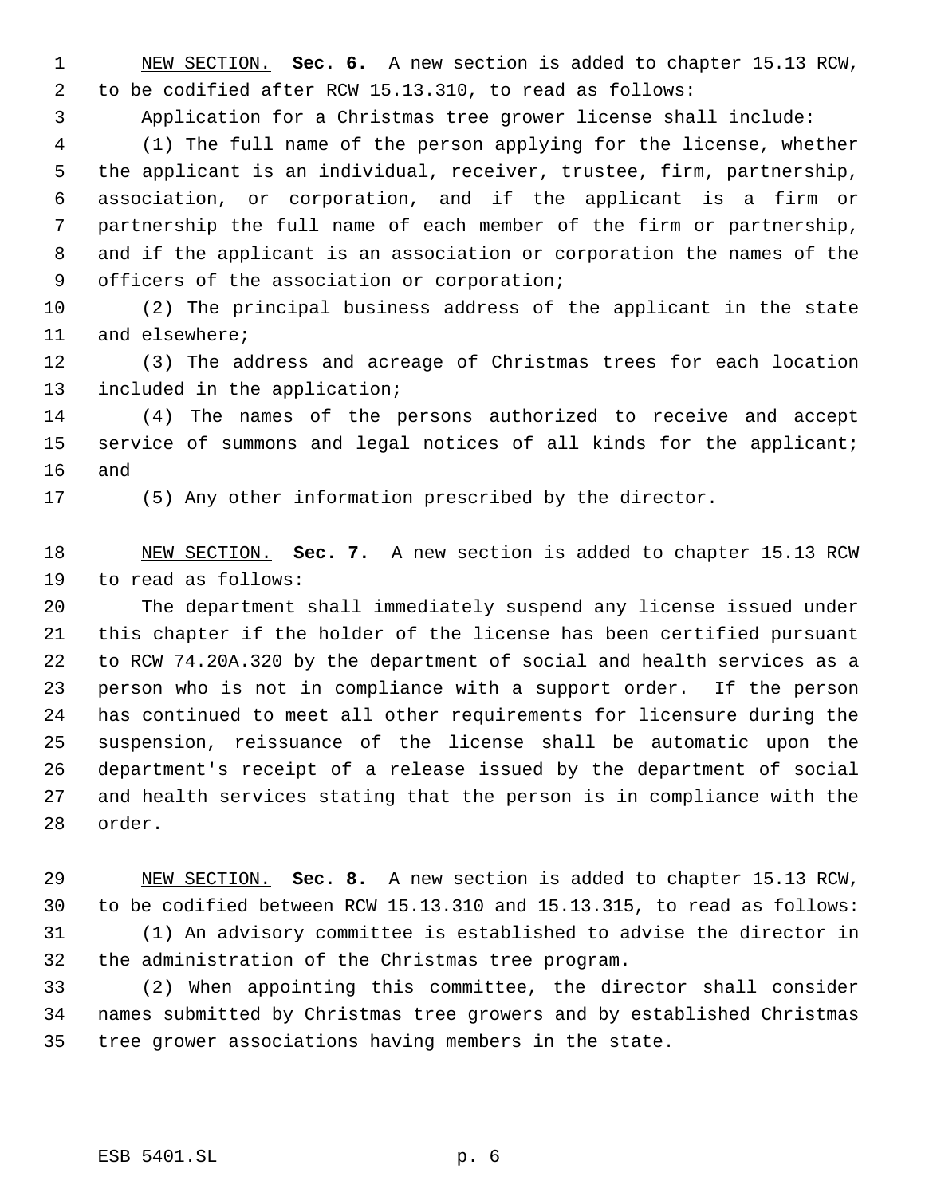NEW SECTION. **Sec. 6.** A new section is added to chapter 15.13 RCW, to be codified after RCW 15.13.310, to read as follows:

Application for a Christmas tree grower license shall include:

 (1) The full name of the person applying for the license, whether the applicant is an individual, receiver, trustee, firm, partnership, association, or corporation, and if the applicant is a firm or partnership the full name of each member of the firm or partnership, and if the applicant is an association or corporation the names of the officers of the association or corporation;

 (2) The principal business address of the applicant in the state and elsewhere;

 (3) The address and acreage of Christmas trees for each location included in the application;

 (4) The names of the persons authorized to receive and accept service of summons and legal notices of all kinds for the applicant; and

(5) Any other information prescribed by the director.

 NEW SECTION. **Sec. 7.** A new section is added to chapter 15.13 RCW to read as follows:

 The department shall immediately suspend any license issued under this chapter if the holder of the license has been certified pursuant to RCW 74.20A.320 by the department of social and health services as a person who is not in compliance with a support order. If the person has continued to meet all other requirements for licensure during the suspension, reissuance of the license shall be automatic upon the department's receipt of a release issued by the department of social and health services stating that the person is in compliance with the order.

 NEW SECTION. **Sec. 8.** A new section is added to chapter 15.13 RCW, to be codified between RCW 15.13.310 and 15.13.315, to read as follows: (1) An advisory committee is established to advise the director in the administration of the Christmas tree program.

 (2) When appointing this committee, the director shall consider names submitted by Christmas tree growers and by established Christmas tree grower associations having members in the state.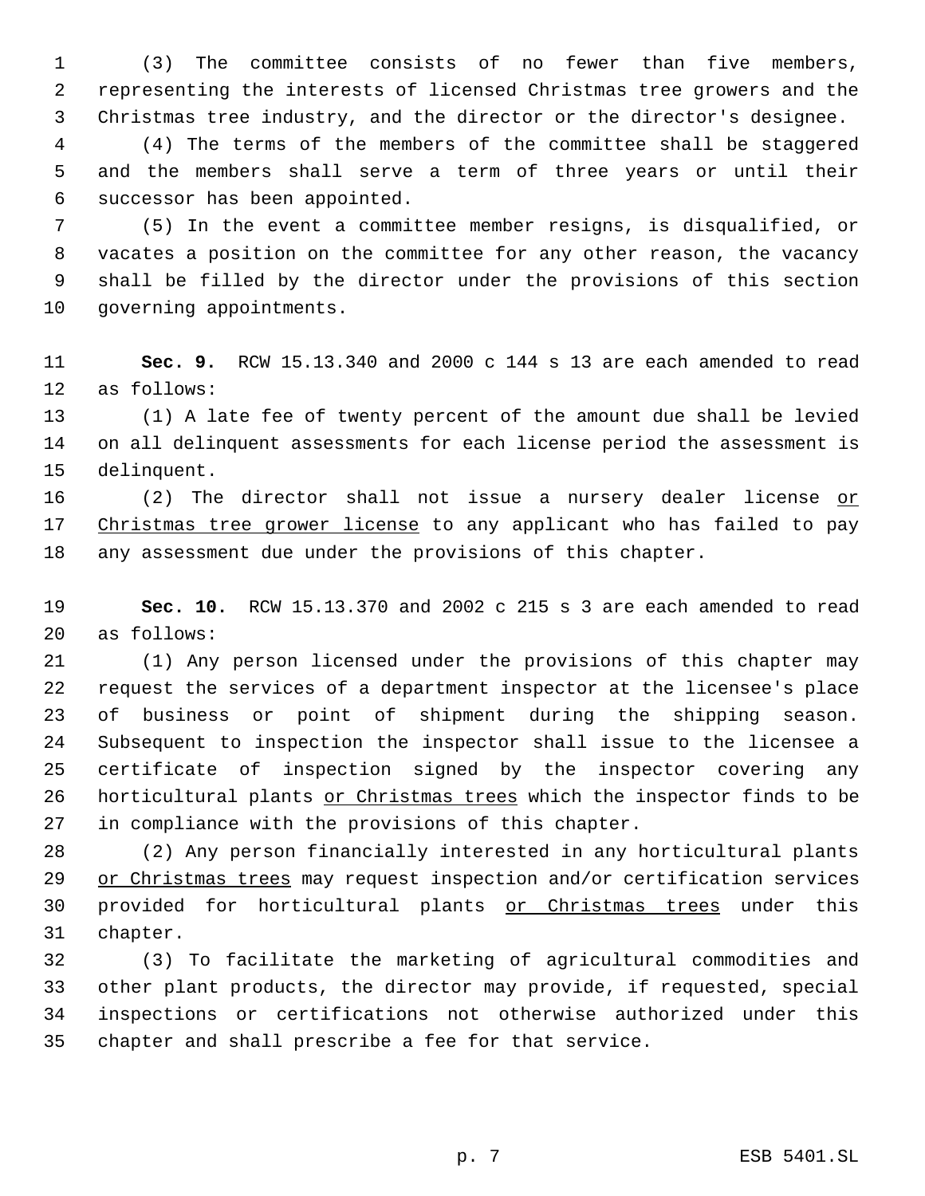(3) The committee consists of no fewer than five members, representing the interests of licensed Christmas tree growers and the Christmas tree industry, and the director or the director's designee.

 (4) The terms of the members of the committee shall be staggered and the members shall serve a term of three years or until their successor has been appointed.

 (5) In the event a committee member resigns, is disqualified, or vacates a position on the committee for any other reason, the vacancy shall be filled by the director under the provisions of this section governing appointments.

 **Sec. 9.** RCW 15.13.340 and 2000 c 144 s 13 are each amended to read as follows:

 (1) A late fee of twenty percent of the amount due shall be levied on all delinquent assessments for each license period the assessment is delinquent.

16 (2) The director shall not issue a nursery dealer license or 17 Christmas tree grower license to any applicant who has failed to pay any assessment due under the provisions of this chapter.

 **Sec. 10.** RCW 15.13.370 and 2002 c 215 s 3 are each amended to read as follows:

 (1) Any person licensed under the provisions of this chapter may request the services of a department inspector at the licensee's place of business or point of shipment during the shipping season. Subsequent to inspection the inspector shall issue to the licensee a certificate of inspection signed by the inspector covering any 26 horticultural plants or Christmas trees which the inspector finds to be in compliance with the provisions of this chapter.

 (2) Any person financially interested in any horticultural plants 29 or Christmas trees may request inspection and/or certification services provided for horticultural plants or Christmas trees under this chapter.

 (3) To facilitate the marketing of agricultural commodities and other plant products, the director may provide, if requested, special inspections or certifications not otherwise authorized under this chapter and shall prescribe a fee for that service.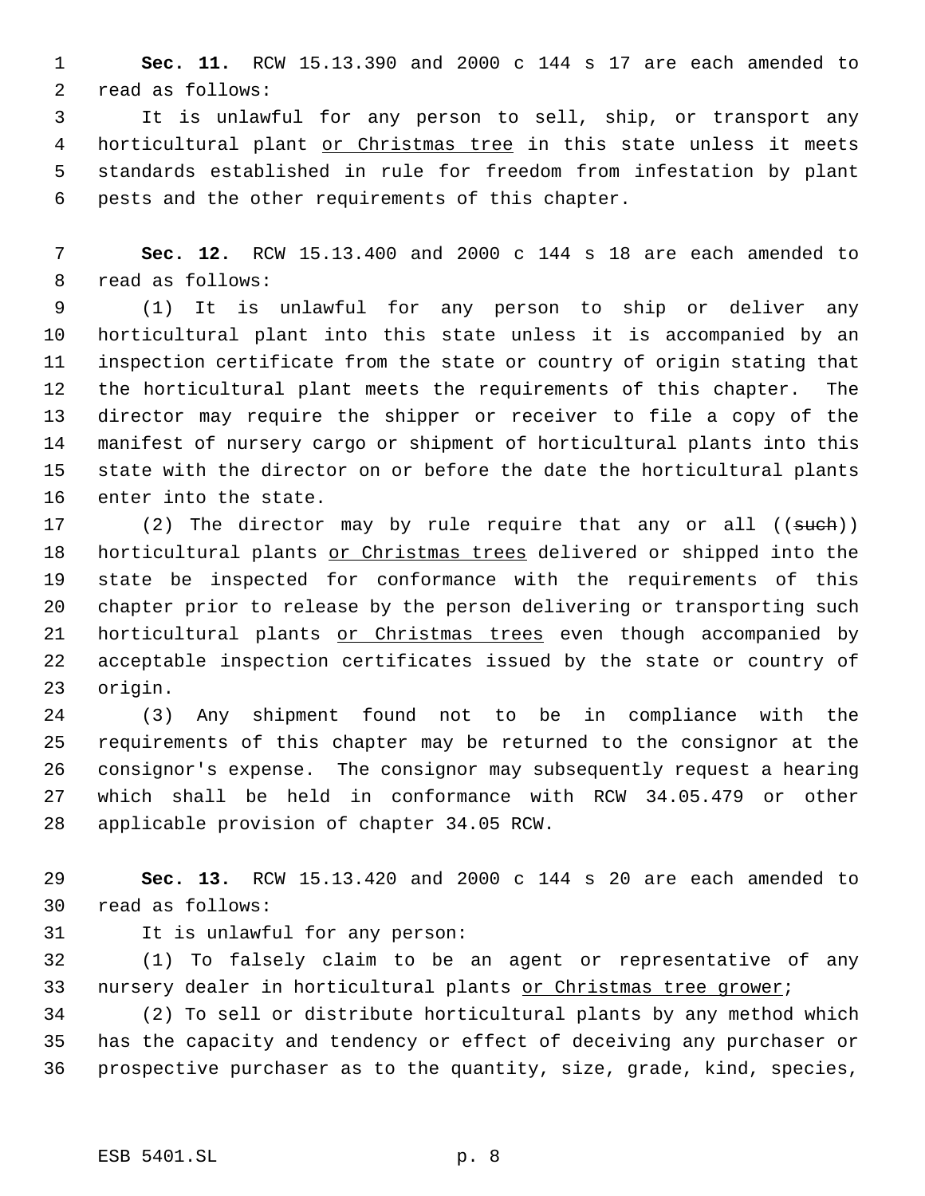**Sec. 11.** RCW 15.13.390 and 2000 c 144 s 17 are each amended to read as follows:

 It is unlawful for any person to sell, ship, or transport any 4 horticultural plant or Christmas tree in this state unless it meets standards established in rule for freedom from infestation by plant pests and the other requirements of this chapter.

 **Sec. 12.** RCW 15.13.400 and 2000 c 144 s 18 are each amended to read as follows:

 (1) It is unlawful for any person to ship or deliver any horticultural plant into this state unless it is accompanied by an inspection certificate from the state or country of origin stating that the horticultural plant meets the requirements of this chapter. The director may require the shipper or receiver to file a copy of the manifest of nursery cargo or shipment of horticultural plants into this state with the director on or before the date the horticultural plants enter into the state.

17 (2) The director may by rule require that any or all ((such)) 18 horticultural plants or Christmas trees delivered or shipped into the state be inspected for conformance with the requirements of this chapter prior to release by the person delivering or transporting such 21 horticultural plants or Christmas trees even though accompanied by acceptable inspection certificates issued by the state or country of origin.

 (3) Any shipment found not to be in compliance with the requirements of this chapter may be returned to the consignor at the consignor's expense. The consignor may subsequently request a hearing which shall be held in conformance with RCW 34.05.479 or other applicable provision of chapter 34.05 RCW.

 **Sec. 13.** RCW 15.13.420 and 2000 c 144 s 20 are each amended to read as follows:

It is unlawful for any person:

 (1) To falsely claim to be an agent or representative of any 33 nursery dealer in horticultural plants or Christmas tree grower;

 (2) To sell or distribute horticultural plants by any method which has the capacity and tendency or effect of deceiving any purchaser or prospective purchaser as to the quantity, size, grade, kind, species,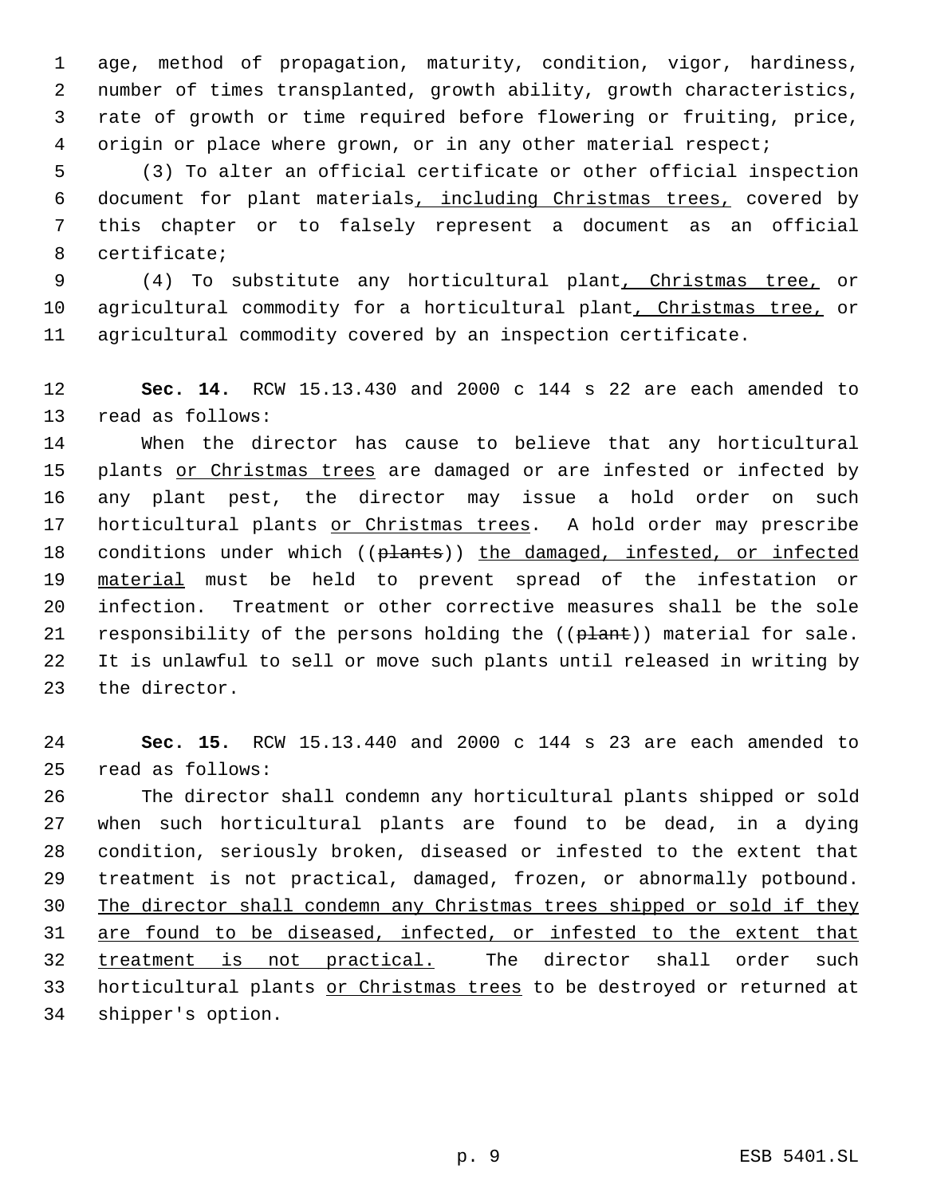age, method of propagation, maturity, condition, vigor, hardiness, number of times transplanted, growth ability, growth characteristics, rate of growth or time required before flowering or fruiting, price, origin or place where grown, or in any other material respect;

 (3) To alter an official certificate or other official inspection document for plant materials, including Christmas trees, covered by this chapter or to falsely represent a document as an official certificate;

 (4) To substitute any horticultural plant, Christmas tree, or 10 agricultural commodity for a horticultural plant, Christmas tree, or agricultural commodity covered by an inspection certificate.

 **Sec. 14.** RCW 15.13.430 and 2000 c 144 s 22 are each amended to read as follows:

 When the director has cause to believe that any horticultural 15 plants or Christmas trees are damaged or are infested or infected by any plant pest, the director may issue a hold order on such 17 horticultural plants or Christmas trees. A hold order may prescribe 18 conditions under which ((plants)) the damaged, infested, or infected material must be held to prevent spread of the infestation or infection. Treatment or other corrective measures shall be the sole 21 responsibility of the persons holding the ((plant)) material for sale. It is unlawful to sell or move such plants until released in writing by the director.

 **Sec. 15.** RCW 15.13.440 and 2000 c 144 s 23 are each amended to read as follows:

 The director shall condemn any horticultural plants shipped or sold when such horticultural plants are found to be dead, in a dying condition, seriously broken, diseased or infested to the extent that treatment is not practical, damaged, frozen, or abnormally potbound. The director shall condemn any Christmas trees shipped or sold if they are found to be diseased, infected, or infested to the extent that treatment is not practical. The director shall order such 33 horticultural plants or Christmas trees to be destroyed or returned at shipper's option.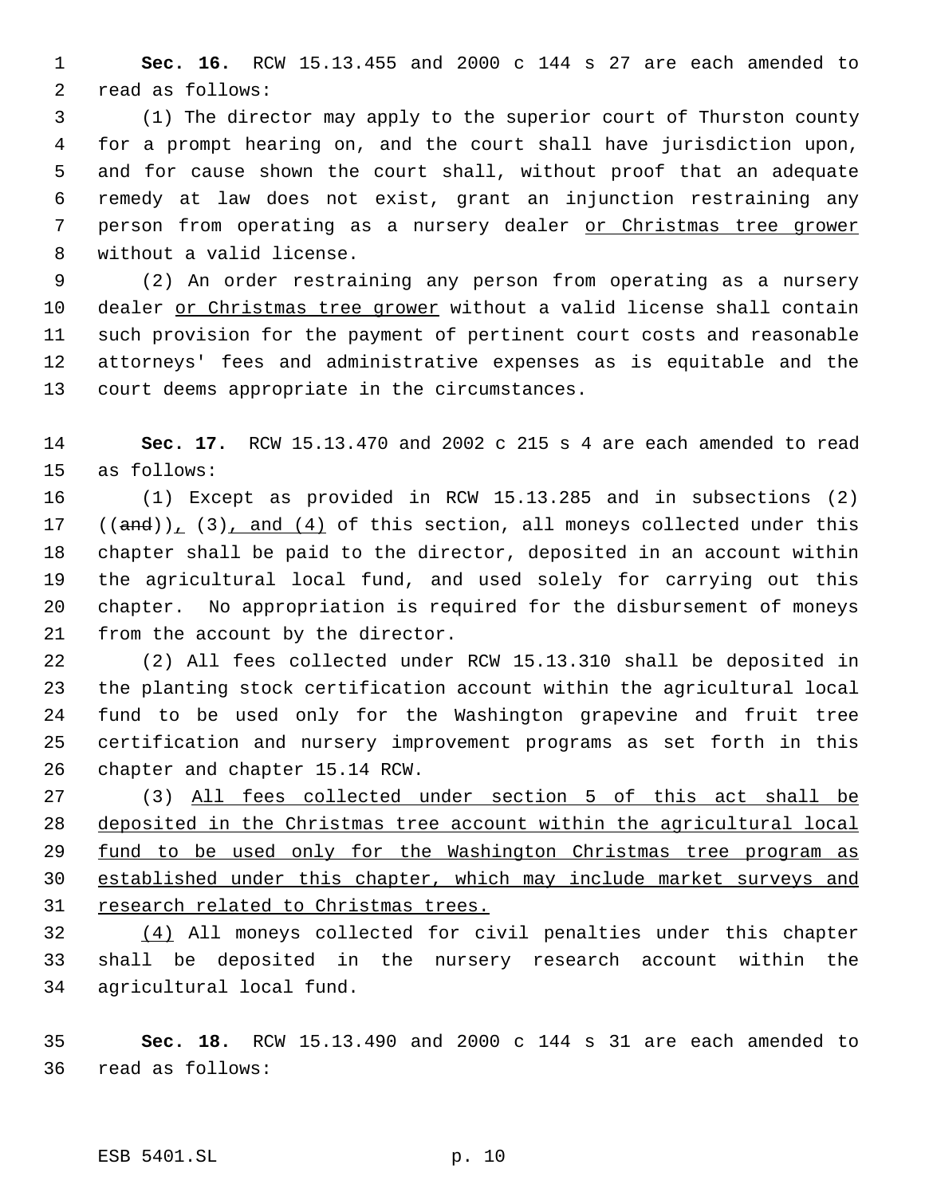**Sec. 16.** RCW 15.13.455 and 2000 c 144 s 27 are each amended to read as follows:

 (1) The director may apply to the superior court of Thurston county for a prompt hearing on, and the court shall have jurisdiction upon, and for cause shown the court shall, without proof that an adequate remedy at law does not exist, grant an injunction restraining any person from operating as a nursery dealer or Christmas tree grower without a valid license.

 (2) An order restraining any person from operating as a nursery dealer or Christmas tree grower without a valid license shall contain such provision for the payment of pertinent court costs and reasonable attorneys' fees and administrative expenses as is equitable and the court deems appropriate in the circumstances.

 **Sec. 17.** RCW 15.13.470 and 2002 c 215 s 4 are each amended to read as follows:

 (1) Except as provided in RCW 15.13.285 and in subsections (2)  $((and)), (3), and (4)$  of this section, all moneys collected under this chapter shall be paid to the director, deposited in an account within the agricultural local fund, and used solely for carrying out this chapter. No appropriation is required for the disbursement of moneys from the account by the director.

 (2) All fees collected under RCW 15.13.310 shall be deposited in the planting stock certification account within the agricultural local fund to be used only for the Washington grapevine and fruit tree certification and nursery improvement programs as set forth in this chapter and chapter 15.14 RCW.

 (3) All fees collected under section 5 of this act shall be deposited in the Christmas tree account within the agricultural local 29 fund to be used only for the Washington Christmas tree program as established under this chapter, which may include market surveys and research related to Christmas trees.

 (4) All moneys collected for civil penalties under this chapter shall be deposited in the nursery research account within the agricultural local fund.

 **Sec. 18.** RCW 15.13.490 and 2000 c 144 s 31 are each amended to read as follows: